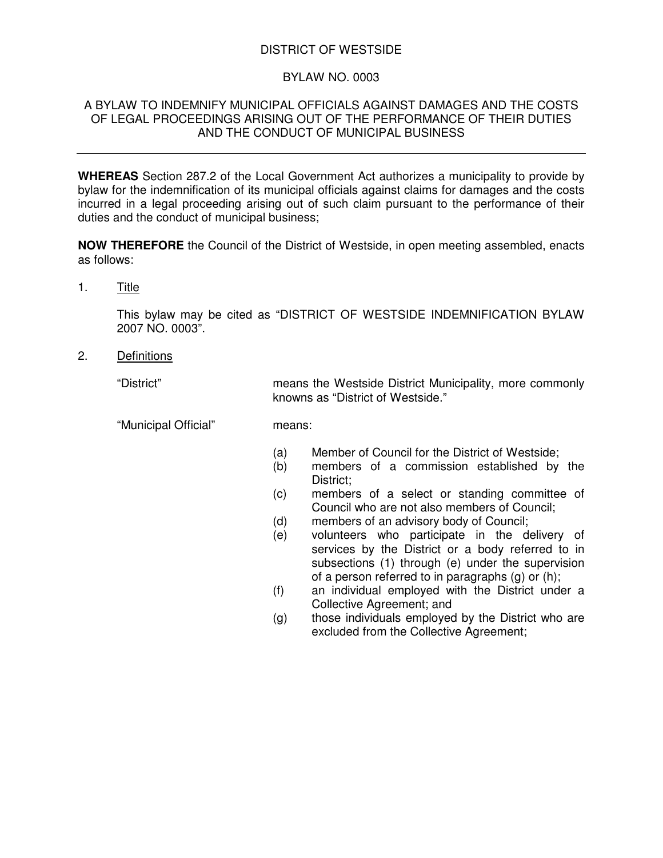# DISTRICT OF WESTSIDE

## BYLAW NO. 0003

### A BYLAW TO INDEMNIFY MUNICIPAL OFFICIALS AGAINST DAMAGES AND THE COSTS OF LEGAL PROCEEDINGS ARISING OUT OF THE PERFORMANCE OF THEIR DUTIES AND THE CONDUCT OF MUNICIPAL BUSINESS

**WHEREAS** Section 287.2 of the Local Government Act authorizes a municipality to provide by bylaw for the indemnification of its municipal officials against claims for damages and the costs incurred in a legal proceeding arising out of such claim pursuant to the performance of their duties and the conduct of municipal business;

**NOW THEREFORE** the Council of the District of Westside, in open meeting assembled, enacts as follows:

1. Title

This bylaw may be cited as "DISTRICT OF WESTSIDE INDEMNIFICATION BYLAW 2007 NO. 0003".

knowns as "District of Westside."

2. Definitions

"District" means the Westside District Municipality, more commonly

"Municipal Official" means:

- (a) Member of Council for the District of Westside;
- (b) members of a commission established by the District;
- (c) members of a select or standing committee of Council who are not also members of Council;
- (d) members of an advisory body of Council;
- (e) volunteers who participate in the delivery of services by the District or a body referred to in subsections (1) through (e) under the supervision of a person referred to in paragraphs (g) or (h);
- (f) an individual employed with the District under a Collective Agreement; and
- (g) those individuals employed by the District who are excluded from the Collective Agreement;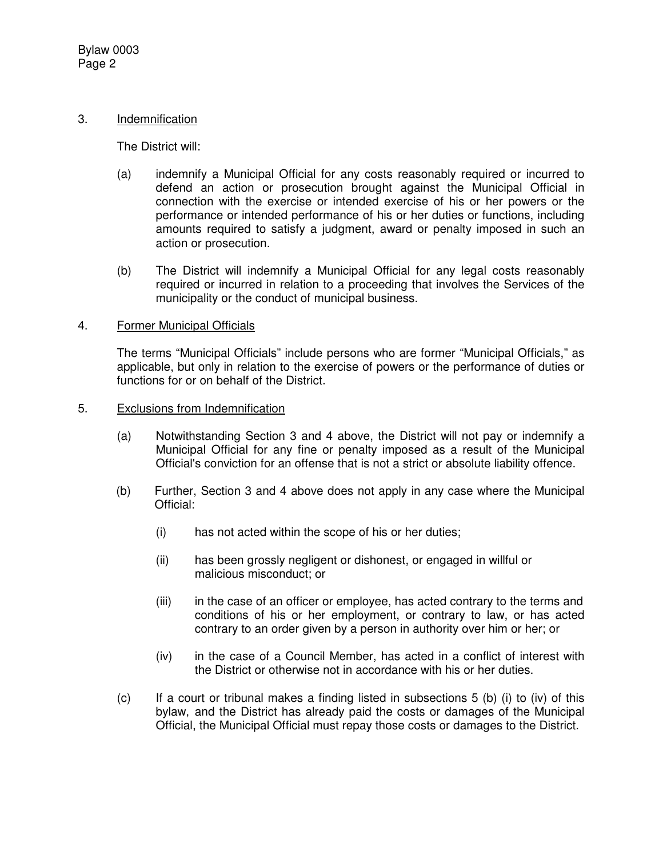### 3. Indemnification

The District will:

- (a) indemnify a Municipal Official for any costs reasonably required or incurred to defend an action or prosecution brought against the Municipal Official in connection with the exercise or intended exercise of his or her powers or the performance or intended performance of his or her duties or functions, including amounts required to satisfy a judgment, award or penalty imposed in such an action or prosecution.
- (b) The District will indemnify a Municipal Official for any legal costs reasonably required or incurred in relation to a proceeding that involves the Services of the municipality or the conduct of municipal business.

#### 4. Former Municipal Officials

The terms "Municipal Officials" include persons who are former "Municipal Officials," as applicable, but only in relation to the exercise of powers or the performance of duties or functions for or on behalf of the District.

- 5. Exclusions from Indemnification
	- (a) Notwithstanding Section 3 and 4 above, the District will not pay or indemnify a Municipal Official for any fine or penalty imposed as a result of the Municipal Official's conviction for an offense that is not a strict or absolute liability offence.
	- (b) Further, Section 3 and 4 above does not apply in any case where the Municipal Official:
		- (i) has not acted within the scope of his or her duties;
		- (ii) has been grossly negligent or dishonest, or engaged in willful or malicious misconduct; or
		- (iii) in the case of an officer or employee, has acted contrary to the terms and conditions of his or her employment, or contrary to law, or has acted contrary to an order given by a person in authority over him or her; or
		- (iv) in the case of a Council Member, has acted in a conflict of interest with the District or otherwise not in accordance with his or her duties.
	- $(c)$  If a court or tribunal makes a finding listed in subsections 5 (b) (i) to (iv) of this bylaw, and the District has already paid the costs or damages of the Municipal Official, the Municipal Official must repay those costs or damages to the District.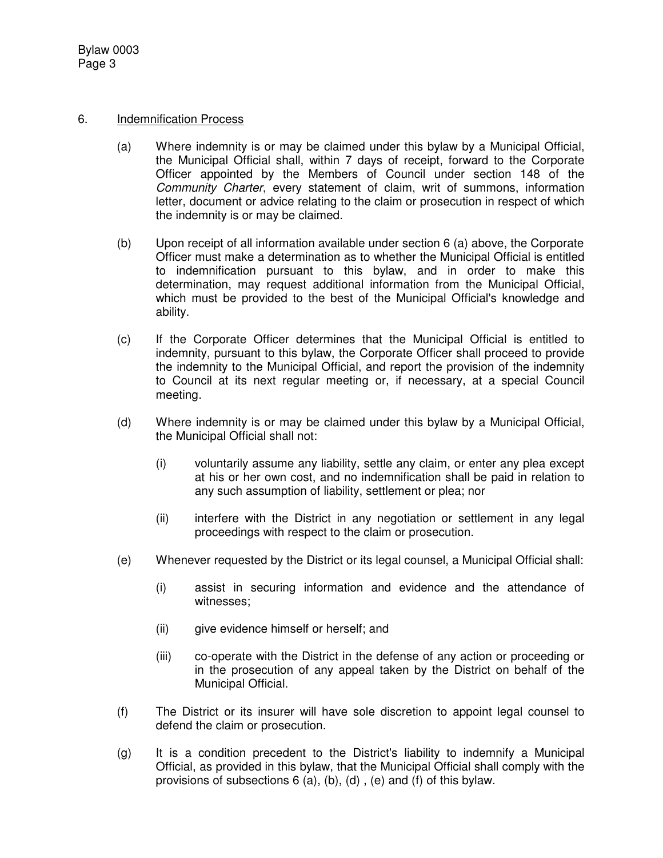Bylaw 0003 Page 3

#### 6. Indemnification Process

- (a) Where indemnity is or may be claimed under this bylaw by a Municipal Official, the Municipal Official shall, within 7 days of receipt, forward to the Corporate Officer appointed by the Members of Council under section 148 of the *Community Charter*, every statement of claim, writ of summons, information letter, document or advice relating to the claim or prosecution in respect of which the indemnity is or may be claimed.
- (b) Upon receipt of all information available under section 6 (a) above, the Corporate Officer must make a determination as to whether the Municipal Official is entitled to indemnification pursuant to this bylaw, and in order to make this determination, may request additional information from the Municipal Official, which must be provided to the best of the Municipal Official's knowledge and ability.
- (c) If the Corporate Officer determines that the Municipal Official is entitled to indemnity, pursuant to this bylaw, the Corporate Officer shall proceed to provide the indemnity to the Municipal Official, and report the provision of the indemnity to Council at its next regular meeting or, if necessary, at a special Council meeting.
- (d) Where indemnity is or may be claimed under this bylaw by a Municipal Official, the Municipal Official shall not:
	- (i) voluntarily assume any liability, settle any claim, or enter any plea except at his or her own cost, and no indemnification shall be paid in relation to any such assumption of liability, settlement or plea; nor
	- (ii) interfere with the District in any negotiation or settlement in any legal proceedings with respect to the claim or prosecution.
- (e) Whenever requested by the District or its legal counsel, a Municipal Official shall:
	- (i) assist in securing information and evidence and the attendance of witnesses;
	- (ii) give evidence himself or herself; and
	- (iii) co-operate with the District in the defense of any action or proceeding or in the prosecution of any appeal taken by the District on behalf of the Municipal Official.
- (f) The District or its insurer will have sole discretion to appoint legal counsel to defend the claim or prosecution.
- (g) It is a condition precedent to the District's liability to indemnify a Municipal Official, as provided in this bylaw, that the Municipal Official shall comply with the provisions of subsections 6 (a), (b), (d) , (e) and (f) of this bylaw.